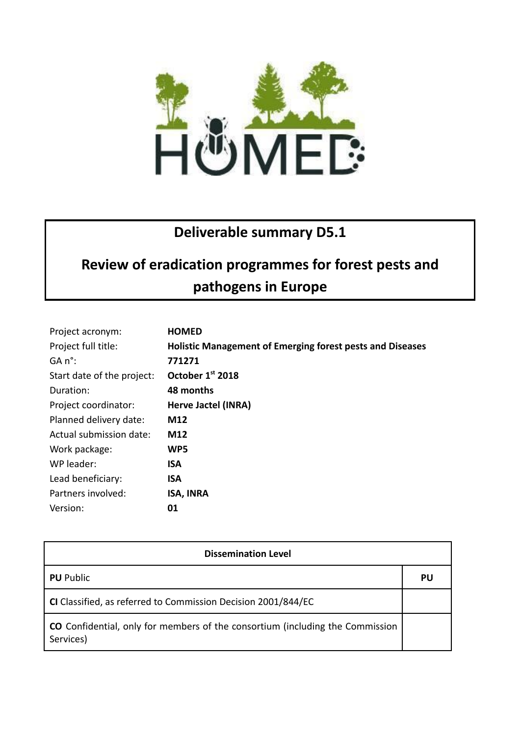

## **Deliverable summary D5.1**

## **Review of eradication programmes for forest pests and pathogens in Europe**

| Project acronym:           | <b>HOMED</b>                                                     |
|----------------------------|------------------------------------------------------------------|
| Project full title:        | <b>Holistic Management of Emerging forest pests and Diseases</b> |
| GA n°:                     | 771271                                                           |
| Start date of the project: | October 1st 2018                                                 |
| Duration:                  | 48 months                                                        |
| Project coordinator:       | Herve Jactel (INRA)                                              |
| Planned delivery date:     | M12                                                              |
| Actual submission date:    | M12                                                              |
| Work package:              | WP5                                                              |
| WP leader:                 | ISA                                                              |
| Lead beneficiary:          | <b>ISA</b>                                                       |
| Partners involved:         | <b>ISA, INRA</b>                                                 |
| Version:                   | 01                                                               |

| <b>Dissemination Level</b>                                                                 |    |  |
|--------------------------------------------------------------------------------------------|----|--|
| <b>PU</b> Public                                                                           | PU |  |
| CI Classified, as referred to Commission Decision 2001/844/EC                              |    |  |
| CO Confidential, only for members of the consortium (including the Commission<br>Services) |    |  |